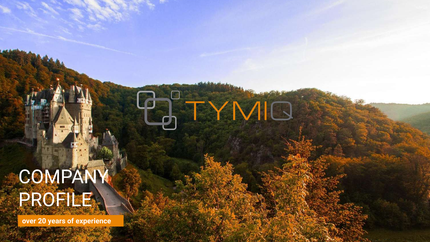# COMPANY PROFILE.

**PO TYNIO** 

**over 20 years of experience**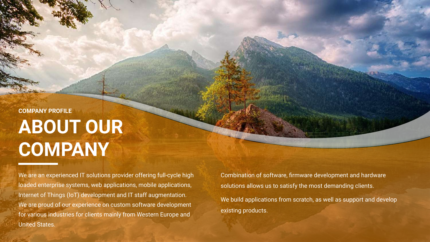### **ABOUT OUR COMPANY COMPANY PROFILE**

We are an experienced IT solutions provider offering full-cycle high loaded enterprise systems, web applications, mobile applications, Internet of Things (IoT) development and IT staff augmentation. We are proud of our experience on custom software development for various industries for clients mainly from Western Europe and United States.

Combination of software, firmware development and hardware solutions allows us to satisfy the most demanding clients. We build applications from scratch, as well as support and develop existing products.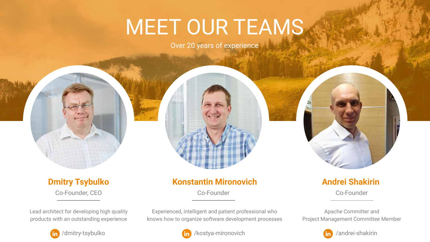## MEET OUR TEAMS

Over 20 years of experience



#### **Dmitry Tsybulko** Co-Founder, CEO

Lead architect for developing high quality products with an outstanding experience

### **Konstantin Mironovich**

Co-Founder

Experienced, intelligent and patient professional who knows how to organize software development processes



**Andrei Shakirin**

Co-Founder

Apache Committer and Project Management Committee Member



/andrei-shakirin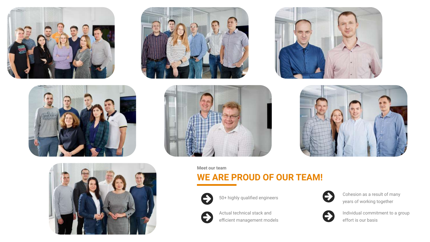













**Meet our team**

### **WE ARE PROUD OF OUR TEAM!**



50+ highly qualified engineers



Actual technical stack and efficient management models



Cohesion as a result of many years of working together



Individual commitment to a group effort is our basis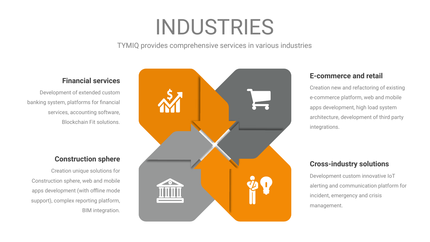## INDUSTRIES

TYMIQ provides comprehensive services in various industries

#### **Financial services**

Development of extended custom banking system, platforms for financial services, accounting software, Blockchain Fit solutions.

#### **Construction sphere**

Creation unique solutions for Construction sphere, web and mobile apps development (with offline mode support), complex reporting platform, BIM integration.



#### **E-commerce and retail**

Creation new and refactoring of existing e-commerce platform, web and mobile apps development, high load system architecture, development of third party integrations.

#### **Cross-industry solutions**

Development custom innovative IoT alerting and communication platform for incident, emergency and crisis management.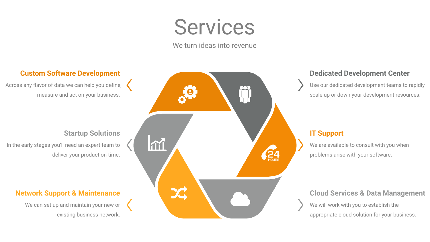### **Services**

We turn ideas into revenue

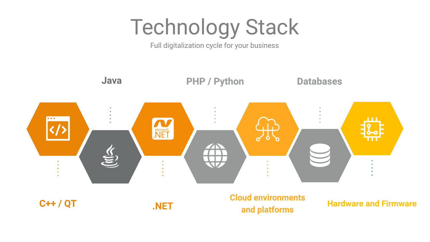# Technology Stack

Full digitalization cycle for your business

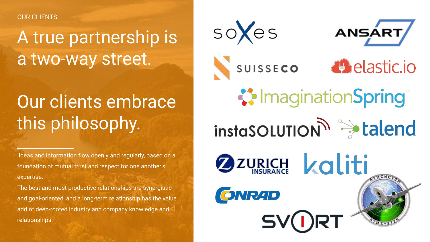OUR CLIENTS

### A true partnership is a two-way street.

### Our clients embrace this philosophy.

 Ideas and information flow openly and regularly, based on a foundation of mutual trust and respect for one another's expertise.

The best and most productive relationships are synergistic and goal-oriented, and a long-term relationship has the value add of deep-rooted industry and company knowledge and relationships.